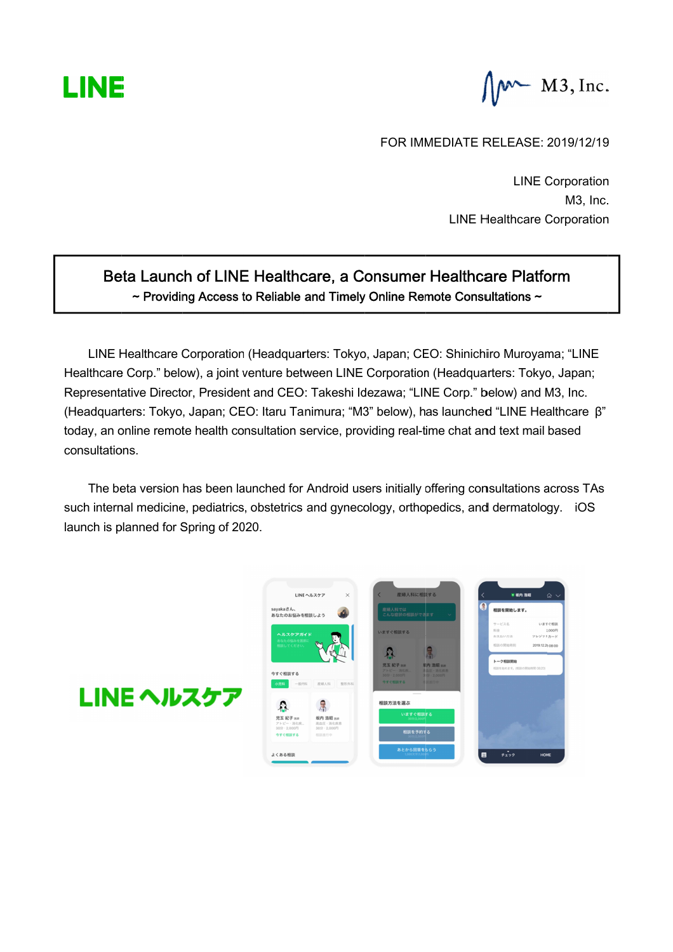

 $\int \mathbf{M}$  M3, Inc.

FOR IMMEDIATE RELEASE: 2019/12/19 FOR IMMEDIATE RELEASE: 2019/12/19 FOR LINE Corporation

LINE Healthcare Corporation LINE Healthcare Corporation

# Beta Launch of LINE Healthcare, a Consumer Healthcare Platform  $\sim$  Providing Access to Reliable and Timely Online Remote Consultations  $\sim$ LINE Healthcare Corporatio

LINE Healthcare Corporation (Headquarters: Tokyo LINE Healthcare Corporation (Headquarters: Tokyo, Japan; CEO: Shinichiro Muroyama; "LINE<br>Healthcare Corp." below), a joint venture between LINE Corporation (Headquarters: Tokyo, Japan; ~ Providing Access to Reliable and Timely Online Remote Consultations<br>LINE Healthcare Corporation (Headquarters: Tokyo, Japan; CEO: Shinichiro Muro<br>Healthcare Corp." below), a joint venture between LINE Corporation (Headqu Representative Director, President and CEO: Takeshi Idezawa; "LINE Corp." below) and M3, Inc.<br>(Headquarters: Tokyo, Japan; CEO: Itaru Tanimura; "M3" below), has launched "LINE Healthcare β" today, an online remote health consultation service consultation consultations. Tokyo, Japan; CEO: Itaru Tanimura; "M3" below), has launched "LINE Healthcare<br>remote health consultation service, providing real-time chat and text mail based<br>ersion has been launched for Android users initially offering c Providing Access to Reliable and Timely Online Remote Consultatio<br>thcare Corporation (Headquarters: Tokyo, Japan; CEO: Shinichiro Mu<br>rp." below), a joint venture between LINE Corporation (Headquarters: Tokyo, Japan; CEO: Shinichiro Muroyama; "LIN and Timely Online Remote Consultations ~<br>
Inters: Tokyo, Japan; CEO: Shinichiro Muroyama; "LIN<br>
ween LINE Corporation (Headquarters: Tokyo, Japan<br>
Takeshi Idezawa; "LINE Corp." below) and M3, Inc.<br>
nimura; "M3" below), has below) and M3, Inc. M3, Inc.<br>
LINE Healthcare Corporation<br>
Donsumer Healthcare Platform<br>
Sulty Online Remote Consultations ~<br>
users approach (Headquarters: Tokyo, Japan;<br>
i Idezawa; "LINE Corp." below) and M3, Inc.<br>
M3" below), has launched "

The beta version has been launched for Android users initially offering consultations across TAs The beta version has been launched for Android users initially offering consultations acr<br>such internal medicine, pediatrics, obstetrics and gynecology, orthopedics, and dermatology launch is planned for Spring of 2020. d text mail based<br>sultations across TA<br>dermatology. iOS



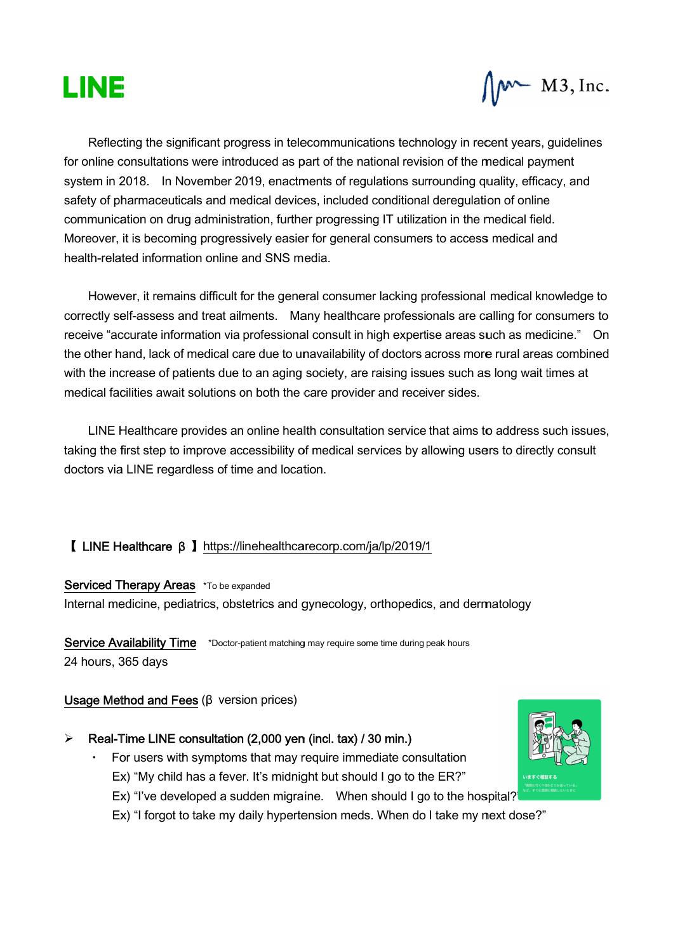



Reflecting the significant progress in telecommunications technology in recent years, gui Reflecting the significant progress in telecommunications technology in recent years, guide<br>for online consultations were introduced as part of the national revision of the medical payment<br>system in 2018. In November 201 for online consultations were introduced as part of the national revision of the medical payment<br>system in 2018. In November 2019, enactments of regulations surrounding quality, efficacy, and safety of pharmaceuticals and medical devices, included conditional deregulation of online safety of pharmaceuticals and medical devices, included conditional deregulation of online<br>communication on drug administration, further progressing IT utilization in the medical field. Moreover, it is becoming progressively easier for general consumers to access medical and<br>health-related information online and SNS media. health-related information online and SNS media. on drug administration, further progressing IT utilization in the medical field.<br>ecoming progressively easier for general consumers to access medical and<br>formation online and SNS media.<br>remains difficult for the general co onal revision of the medical payment<br>
conal revision of the medical payment<br>
ations surrounding quality, efficacy, and<br>
conditional deregulation of online<br>
IT utilization in the medical field.<br>
consumers to access medical

However, it remains difficult for the general consumer However, it remains difficult for the general consumer lacking professional medical knowledge to<br>correctly self-assess and treat ailments. Many healthcare professionals are calling for consumers to receive "accurate information via professional consult in high expertise areas such as medicine." On the other hand, lack of medical care due to unavailability of doctors across more rural areas combined with the increase of patients due to an aging society, are raising issues such as long wait times at with the increase of patients due to an aging society, are raising issues such a<br>medical facilities await solutions on both the care provider and receiver sides. ver, it is becoming progressively easier<br>related information online and SNS me<br>wever, it remains difficult for the genera<br>ly self-assess and treat ailments. Mar consultations were introduced as part of the national revision of<br>2018. In November 2019, enactments of regulations surround<br>harmaceuticals and medical devices, included conditional dere<br>tation on drug administration, fur receive "accurate information via professional consult in high expertise areas such as medicine.<br>the other hand, lack of medical care due to unavailability of doctors across more rural areas con<br>with the increase of patien

LINE Healthcare provides an online health consultation service that aims to address such issues, LINE Healthcare provides an online health consultation service that aims to address such issue<br>taking the first step to improve accessibility of medical services by allowing users to directly consult doctors via LINE regardless of time and location ck of medical care due to unavailability of doctors across mo<br>of patients due to an aging society, are raising issues such a<br>await solutions on both the care provider and receiver sides.<br>are provides an online health consu care provider and red<br>Ith consultation services<br>of medical services by<br>tion.<br>recorp.com/ja/lp/201<br>gynecology, orthoped<br>and may require some time duricy<br>of the during may require some time during<br>indicated in the during may

# 【 LINE Healthcare β β 】https://linehealthcarecorp.com/ja/lp/2019/1 https://linehealthcarecorp.com/ja/lp/2019/1

#### Serviced Therapy Areas \*To be expanded

I LINE Healthcare β 】<u>https://linehealthcarecorp.com/ja/lp/2019/1</u><br>Serviced Therapy Areas \*το be expanded<br>Internal medicine, pediatrics, obstetrics and gynecology, orthopedics, and dermatology Serviced Therapy Areas \*To be expanded<br>Internal medicine, pediatrics, obstetrics and gynecology, orthopedics, and d<br>Service Availability Time \*Doctor-patient matching may require some time during peak hours

24 hours, 365 days gynecology, orthopedics, and dermatolog<br>
g may require some time during peak hours<br> **1 (incl. tax) / 30 min.)**<br>
require immediate consultation<br>
ght but should I go to the ER?"<br>
ine. When should I go to the hospital?

### Usage Method and Fees  $(\beta \text{ version prices})$

# $\triangleright$  Real-Time LINE consultation (2,000 yen (incl. tax) / 30 min.)

- Real-Time LINE consultation (2,000 yen (incl. tax) / 30 min.)<br>• For users with symptoms that may require immediate consultation itoms that may require immediate consultation<br>fever. It's midnight but should I go to the ER?"
	- Ex) "My child has a fever or users with symptoms that may req<br>x) "My child has a fever. It's midnight<br>x) "I've developed a sudden migraine
	- For users with symptoms that may require immediate consultation<br>Ex) "My child has a fever. It's midnight but should I go to the ER?"<br>Ex) "I've developed a sudden migraine. When should I go to the hospital?"<br>Ex) "I forgot t
	- Ex) "I forgot to take my daily hypertension meds. When do I take my next dose?"

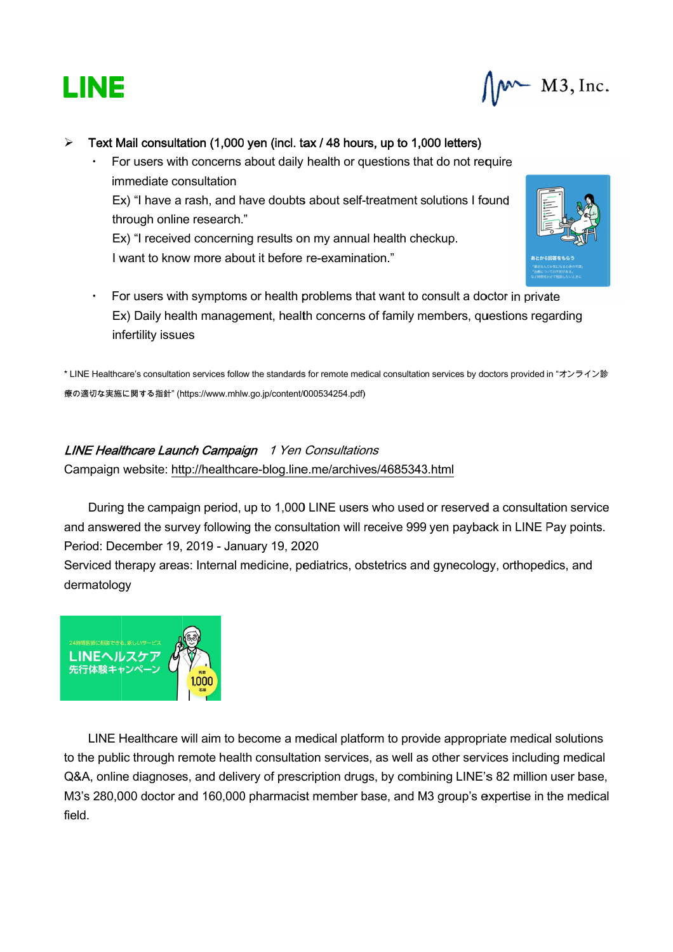

M3, Inc.

## $\triangleright$  Text Mail consultation (1,000 yen (incl. tax / 48 hours, up to 1,000 letters)

・ For users with concerns about daily health or questions that do not require immediate consultation For users with concerns about daily health or questions that do not require<br>immediate consultation<br>Ex) "I have a rash, and have doubts about self-treatment solutions I found through online research." Ex) "I have a rash, and have doubts about self-treatment solutio<br>through online research."<br>Ex) "I received concerning results on my annual health checkup **consultation (1,000 yen**<br>sers with concerns abou<br>diate consultation s with concerns about daily health or<br>te consultation<br>we a rash, and have doubts about sel<br>online research."<br>ceived concerning results on my annu<br>how more about it before re-examin<br>s with symptoms or health problems t<br>y he That Mail consultation (1,000 yen (incl. tax / 48 hours, up to 1,000 letter<br>
For users with concerns about daily health or questions that do not<br>
Ex) "I have a rash, and have doubts about self-treatment solutions through health or questions that do not require n**cl. tax / 48 hours, up to 1,000 letters)**<br>daily health or questions that do not require<br>pubts about self-treatment solutions I found

I want to know more about it before re examination."Ex) "I received concerning results on my annual health checkup.<br>I want to know more about it before re-examination."



 $\cdot$  For users with symptoms or health problems that want to consult a doctor in private For users with symptoms or health problems that want to consult a doctor in private<br>Ex) Daily health management, health concerns of family members, questions regarding Ex) Daily health<br>infertility issues

\* LINE Healthcare's consultation services follow the standards for remote medical consultation services by doctors provided in " \* LINE Healthcare's consultation services follow the standards for remote med<br>療の適切な実施に関する指針" (https://www.mhlw.go.jp/content/000534254.pdf)

### LINE Healthcare Launch Campaign 1 Yen Consultations

Campaign website: http://healthcare-blog.line.me/archives/4685343.html

ipaign website: <u>http://healthcare-blog.line.me/archives/4685343.html</u><br>During the campaign period, up to 1,000 LINE users who used or reserved a consultation service During the campaign period, up to 1,000 LINE users who used or reserved a consultation service<br>.and answered the survey following the consultation will receive 999 yen payback in LINE Pay points Period: December 19, 2019 - January 19, 2020 January 19, 2020

Serviced therapy areas: Internal medicine, pediatrics, obstetrics and gynecology, orthopedics, and dermatology : Internal medicine, pediatrics, obstetrics and gynecology, orthopedics, and<br> **Alternal Montana**<br> **Alternal Montana**<br> **ill aim to become a medical platform to provide appropriate medical solutions** 



LINE Healthcare will aim to become a medical platform to provide appropriate medical solutions to the public through remote health consultation services, as well as other services including medical Q&A, online diagnoses, and delivery of prescription drugs, by combining LINE's 82 million user base, LINE Healthcare will aim to become a medical platform to provide appropriate medical solutions<br>to the public through remote health consultation services, as well as other services including medical<br>Q&A, online diagnoses, a field. The Health Case of the through areas: Internal medicine, pediatrics, obstetrics and gynecology, orthopedics, and<br>
INE<br>
INE<br>
INE Health Case of the through consultation<br>
INE Health care will aim to become a medical platform resers who used or reserved a consultation service<br>will receive 999 yen payback in LINE Pay points.<br>s, obstetrics and gynecology, orthopedics, and<br>platform to provide appropriate medical solutions<br>vices, as well as other s are's consultation services follow the standards for remote medical consultation services by doctors provided in "オンライン診<br>
Ifficare Launch Campaign 1 Yen Consultations<br>
website: http://healthcare-blog.line.medarchives/46853